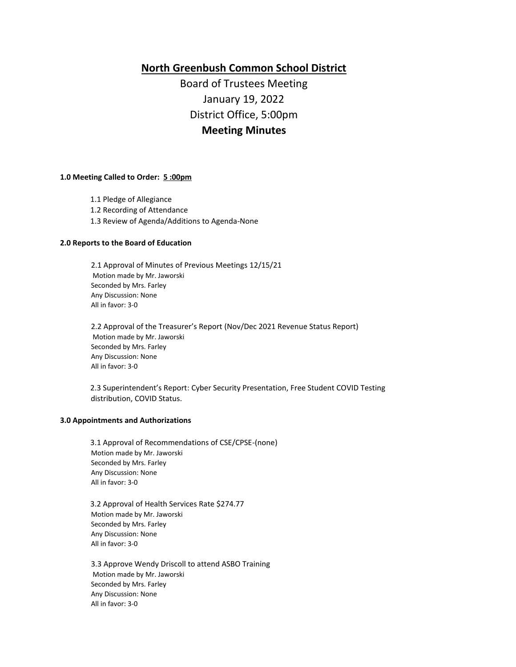# **North Greenbush Common School District**

Board of Trustees Meeting January 19, 2022 District Office, 5:00pm **Meeting Minutes**

#### **1.0 Meeting Called to Order: 5 :00pm**

- 1.1 Pledge of Allegiance
- 1.2 Recording of Attendance
- 1.3 Review of Agenda/Additions to Agenda-None

#### **2.0 Reports to the Board of Education**

2.1 Approval of Minutes of Previous Meetings 12/15/21 Motion made by Mr. Jaworski Seconded by Mrs. Farley Any Discussion: None All in favor: 3-0

2.2 Approval of the Treasurer's Report (Nov/Dec 2021 Revenue Status Report) Motion made by Mr. Jaworski Seconded by Mrs. Farley Any Discussion: None All in favor: 3-0

2.3 Superintendent's Report: Cyber Security Presentation, Free Student COVID Testing distribution, COVID Status.

#### **3.0 Appointments and Authorizations**

3.1 Approval of Recommendations of CSE/CPSE-(none) Motion made by Mr. Jaworski Seconded by Mrs. Farley Any Discussion: None All in favor: 3-0

3.2 Approval of Health Services Rate \$274.77 Motion made by Mr. Jaworski Seconded by Mrs. Farley Any Discussion: None All in favor: 3-0

3.3 Approve Wendy Driscoll to attend ASBO Training Motion made by Mr. Jaworski Seconded by Mrs. Farley Any Discussion: None All in favor: 3-0